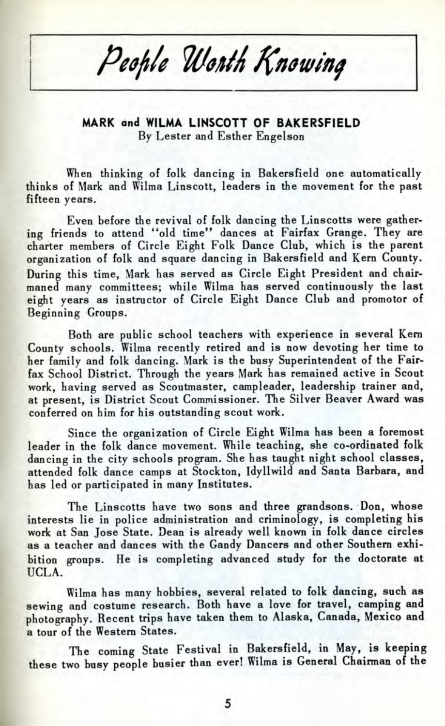People Worth Knowing

**MARK and WILMA LINSCOTT OF BAKERSFIELD** By Lester and Esther Engelson

When thinking of folk dancing in Bakersfield one automatically thinks of Mark and Wilma Linscott, leaders in the movement for the past fifteen years.

Even before the revival of folk dancing the Linscotts were gathering friends to attend "old time" dances at Fairfax Grange. They are charter members of Circle Eight Folk Dance Club, which is the parent organization of folk and square dancing in Bakersfield and Kern County. During this time, Mark has served as Circle Eight President and chairmaned many committees; while Wilma has served continuously the last eight years as instructor of Circle Eight Dance Club and promotor of Beginning Groups.

Both are public school teachers with experience in several Kern County schools. Wilma recently retired and is now devoting her time to her family and folk dancing. Mark is the busy Superintendent of the Fairfax School District. Through the years Mark has remained active in Scout work, having served as Scoutmaster, campleader, leadership trainer and, at present, is District Scout Commissioner. The Silver Beaver Award was conferred on him for his outstanding scout work.

Since the organization of Circle Eight Wilma has been a foremost leader in the folk dance movement. While teaching, she co-ordinated folk dancing in the city schools program. She has taught night school classes, attended folk dance camps at Stockton, Idyllwild and Santa Barbara, and has led or participated in many Institutes.

The Linscotts have two sons and three grandsons. Don, whose interests lie in police administration and criminology, is completing his work at San Jose State. Dean is already well known in folk dance circles as a teacher and dances with the Gandy Dancers and other Southern exhibition groups. He is completing advanced study for the doctorate at UCLA.

Wilma has many hobbies, several related to folk dancing, such as sewing and costume research. Both have a love for travel, camping and photography. Recent trips have taken them to Alaska, Canada, Mexico and a tour of the Western States.

The coming State Festival in Bakersfield, in May, is keeping these two busy people busier than ever! Wilma is General Chairman of the